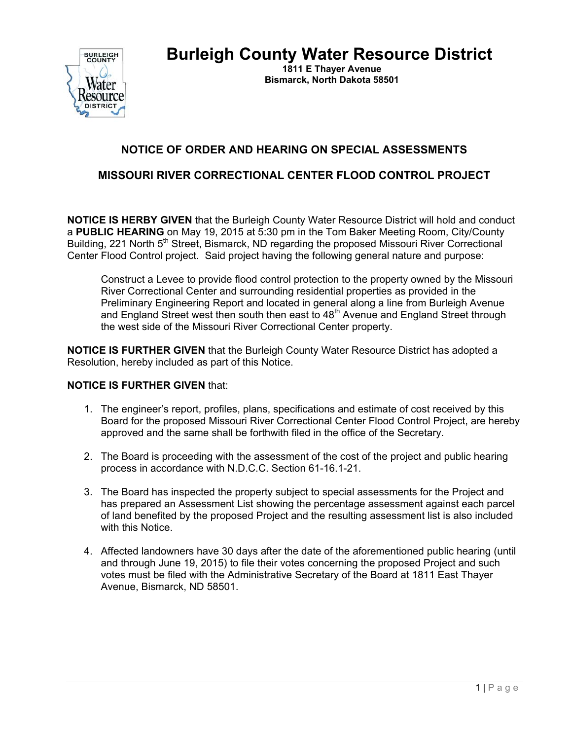**Burleigh County Water Resource District** 



 **1811 E Thayer Avenue Bismarck, North Dakota 58501** 

## **NOTICE OF ORDER AND HEARING ON SPECIAL ASSESSMENTS**

## **MISSOURI RIVER CORRECTIONAL CENTER FLOOD CONTROL PROJECT**

**NOTICE IS HERBY GIVEN** that the Burleigh County Water Resource District will hold and conduct a **PUBLIC HEARING** on May 19, 2015 at 5:30 pm in the Tom Baker Meeting Room, City/County Building, 221 North 5<sup>th</sup> Street, Bismarck, ND regarding the proposed Missouri River Correctional Center Flood Control project. Said project having the following general nature and purpose:

Construct a Levee to provide flood control protection to the property owned by the Missouri River Correctional Center and surrounding residential properties as provided in the Preliminary Engineering Report and located in general along a line from Burleigh Avenue and England Street west then south then east to 48<sup>th</sup> Avenue and England Street through the west side of the Missouri River Correctional Center property.

**NOTICE IS FURTHER GIVEN** that the Burleigh County Water Resource District has adopted a Resolution, hereby included as part of this Notice.

## **NOTICE IS FURTHER GIVEN** that:

- 1. The engineer's report, profiles, plans, specifications and estimate of cost received by this Board for the proposed Missouri River Correctional Center Flood Control Project, are hereby approved and the same shall be forthwith filed in the office of the Secretary.
- 2. The Board is proceeding with the assessment of the cost of the project and public hearing process in accordance with N.D.C.C. Section 61-16.1-21.
- 3. The Board has inspected the property subject to special assessments for the Project and has prepared an Assessment List showing the percentage assessment against each parcel of land benefited by the proposed Project and the resulting assessment list is also included with this Notice.
- 4. Affected landowners have 30 days after the date of the aforementioned public hearing (until and through June 19, 2015) to file their votes concerning the proposed Project and such votes must be filed with the Administrative Secretary of the Board at 1811 East Thayer Avenue, Bismarck, ND 58501.